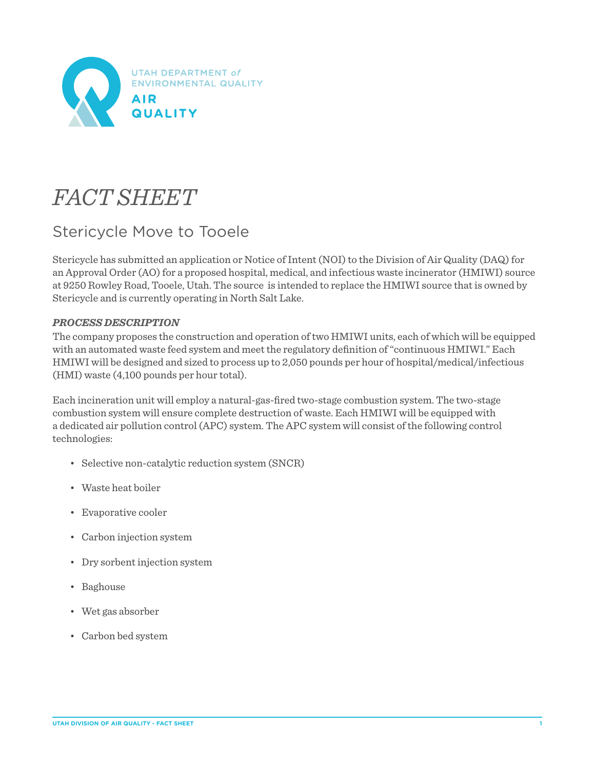

# *FACT SHEET*

## Stericycle Move to Tooele

Stericycle has submitted an application or Notice of Intent (NOI) to the Division of Air Quality (DAQ) for an Approval Order (AO) for a proposed hospital, medical, and infectious waste incinerator (HMIWI) source at 9250 Rowley Road, Tooele, Utah. The source is intended to replace the HMIWI source that is owned by Stericycle and is currently operating in North Salt Lake.

### *PROCESS DESCRIPTION*

The company proposes the construction and operation of two HMIWI units, each of which will be equipped with an automated waste feed system and meet the regulatory definition of "continuous HMIWI." Each HMIWI will be designed and sized to process up to 2,050 pounds per hour of hospital/medical/infectious (HMI) waste (4,100 pounds per hour total).

Each incineration unit will employ a natural-gas-fired two-stage combustion system. The two-stage combustion system will ensure complete destruction of waste. Each HMIWI will be equipped with a dedicated air pollution control (APC) system. The APC system will consist of the following control technologies:

- Selective non-catalytic reduction system (SNCR)
- Waste heat boiler
- Evaporative cooler
- Carbon injection system
- Dry sorbent injection system
- Baghouse
- Wet gas absorber
- Carbon bed system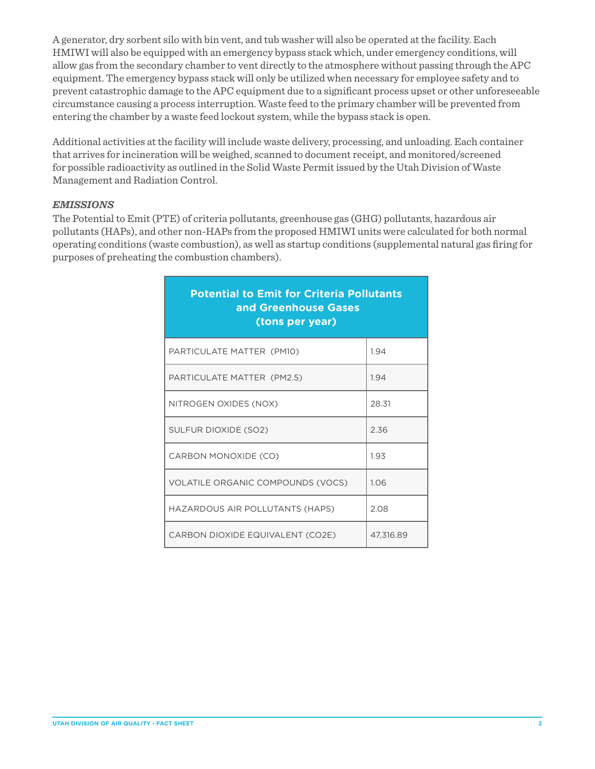A generator, dry sorbent silo with bin vent, and tub washer will also be operated at the facility. Each HMIWI will also be equipped with an emergency bypass stack which, under emergency conditions, will allow gas from the secondary chamber to vent directly to the atmosphere without passing through the APC equipment. The emergency bypass stack will only be utilized when necessary for employee safety and to prevent catastrophic damage to the APC equipment due to a significant process upset or other unforeseeable circumstance causing a process interruption. Waste feed to the primary chamber will be prevented from entering the chamber by a waste feed lockout system, while the bypass stack is open.

Additional activities at the facility will include waste delivery, processing, and unloading. Each container that arrives for incineration will be weighed, scanned to document receipt, and monitored/screened for possible radioactivity as outlined in the Solid Waste Permit issued by the Utah Division of Waste Management and Radiation Control.

#### *EMISSIONS*

The Potential to Emit (PTE) of criteria pollutants, greenhouse gas (GHG) pollutants, hazardous air pollutants (HAPs), and other non-HAPs from the proposed HMIWI units were calculated for both normal operating conditions (waste combustion), as well as startup conditions (supplemental natural gas firing for purposes of preheating the combustion chambers).

| <b>Potential to Emit for Criteria Pollutants</b><br>and Greenhouse Gases<br>(tons per year) |           |
|---------------------------------------------------------------------------------------------|-----------|
| PARTICULATE MATTER (PM10)                                                                   | 1.94      |
| PARTICULATE MATTER (PM2.5)                                                                  | 1.94      |
| NITROGEN OXIDES (NOX)                                                                       | 28.31     |
| SULFUR DIOXIDE (SO2)                                                                        | 2.36      |
| CARBON MONOXIDE (CO)                                                                        | 1.93      |
| <b>VOLATILE ORGANIC COMPOUNDS (VOCS)</b>                                                    | 1.06      |
| HAZARDOUS AIR POLLUTANTS (HAPS)                                                             | 2.08      |
| CARBON DIOXIDE EQUIVALENT (CO2E)                                                            | 47,316.89 |